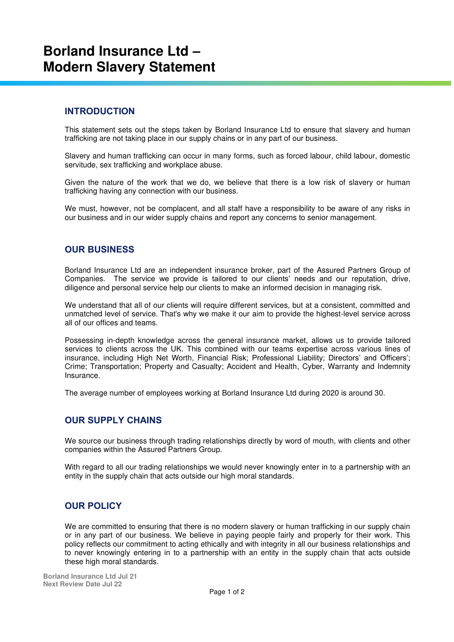# **Borland Insurance Ltd – Modern Slavery Statement**

#### **INTRODUCTION**

This statement sets out the steps taken by Borland Insurance Ltd to ensure that slavery and human trafficking are not taking place in our supply chains or in any part of our business.

Slavery and human trafficking can occur in many forms, such as forced labour, child labour, domestic servitude, sex trafficking and workplace abuse.

Given the nature of the work that we do, we believe that there is a low risk of slavery or human trafficking having any connection with our business.

We must, however, not be complacent, and all staff have a responsibility to be aware of any risks in our business and in our wider supply chains and report any concerns to senior management.

## **OUR BUSINESS**

Borland Insurance Ltd are an independent insurance broker, part of the Assured Partners Group of Companies. The service we provide is tailored to our clients' needs and our reputation, drive, diligence and personal service help our clients to make an informed decision in managing risk.

We understand that all of our clients will require different services, but at a consistent, committed and unmatched level of service. That's why we make it our aim to provide the highest-level service across all of our offices and teams.

Possessing in-depth knowledge across the general insurance market, allows us to provide tailored services to clients across the UK. This combined with our teams expertise across various lines of insurance, including High Net Worth, Financial Risk; Professional Liability; Directors' and Officers'; Crime; Transportation; Property and Casualty; Accident and Health, Cyber, Warranty and Indemnity Insurance.

The average number of employees working at Borland Insurance Ltd during 2020 is around 30.

#### **OUR SUPPLY CHAINS**

We source our business through trading relationships directly by word of mouth, with clients and other companies within the Assured Partners Group.

With regard to all our trading relationships we would never knowingly enter in to a partnership with an entity in the supply chain that acts outside our high moral standards.

# **OUR POLICY**

We are committed to ensuring that there is no modern slavery or human trafficking in our supply chain or in any part of our business. We believe in paying people fairly and properly for their work. This policy reflects our commitment to acting ethically and with integrity in all our business relationships and to never knowingly entering in to a partnership with an entity in the supply chain that acts outside these high moral standards.

**Borland Insurance Ltd Jul 21 Next Review Date Jul 22**